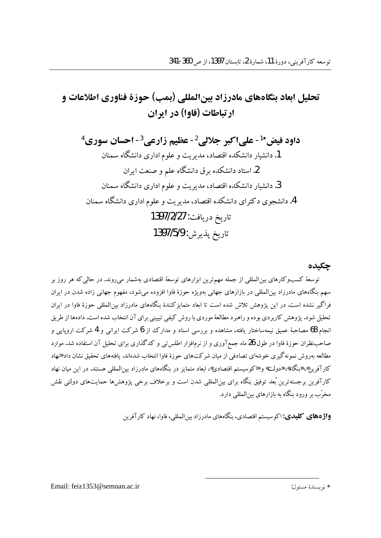# تحليل ابعاد بنگاههاي مادرزاد بينالمللي (بمب) جوزة فناوري اطلاعات و ارتباطات (فاوا) در ایران

داود فيض\* - على اكبر جلالي '- عظيم زارعي '- احسان سوري ' 1. دانشیار دانشکده اقتصاد، مدیریت و علوم اداری دانشگاه سمنان 2. استاد دانشکده برق دانشگاه علم و صنعت ایران 3. دانشبار دانشکده اقتصاد، مدیریت و علوم اداری دانشگاه سمنان 4. دانشجوی دکترای دانشکده اقتصاد، مدیریت و علوم اداری دانشگاه سمنان تاريخ دريافت: 1397/2/27 تاريخ يذير ش: 1397/5/9

حكىدە

توسعهٔ کسبوکارهای بین|لمللی از جمله مهمترین ابزارهای توسعهٔ اقتصادی بهشمار میروند. در حالی که هر روز بر سهم بنگاههای مادرزاد بینالمللی در بازارهای جهانی بهویژه حوزهٔ فاوا افزوده می شود، مفهوم جهانی زاده شدن در ایران .<br>فراگیر نشده است. در این پژوهش تلاش شده است تا ابعاد متمایزکنندهٔ بنگاههای مادرزاد بین|لمللی حوزهٔ فاوا در ایران تحلیل شود. پژوهش کاربردی بوده و راهبرد مطالعهٔ موردی با روش کیفی تبیینی برای آن انتخاب شده است. دادهها از طریق نجام 68 مصاحبهٔ عمیق نیمهساختار یافته، مشاهده و بررسی اسناد و مدارک از 6 شرکت ایرانی و 4 شرکت اروپایی و صاحب نظران حوزهٔ فاوا در طول 26 ماه جمع آوری و از نرم|فزار اطلس تبی و کدگذاری برای تحلیل آن استفاده شد. موارد مطالعه بهروش نمونه گیری خوشهای تصادفی از میان شرکتهای حوزهٔ فاوا انتخاب شدهاند. یافتههای تحقیق نشان داد «نهاد کارآفرین»، «بنگاه»، «دولت» و «کوسیستم اقتصادی»، ابعاد متمایز در بنگاههای مادرزاد بین المللی هستند. در این میان نهاد کارآفرین برجستهترین بُعد توفیق بنگاه برای بینالمللی شدن است و برخلاف برخی یژوهش ها حمایتهای دولتی نقش مخرّب بر ورود بنگاه به بازارهای بین|لمللی دارد.

**واژههای کلیدی:** اکو سیستم اقتصادی، بنگاههای مادرزاد بین المللی، فاوا، نهاد کار آفرین

Email: feiz1353@semnan.ac.ir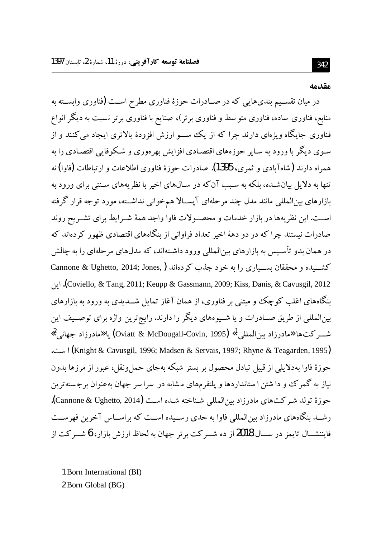#### مقدمه

در میان تقسـیم بندیهایی که در صـادرات حوزهٔ فناوری مطرح اسـت (فناوری وابسـته به منابع، فناوری ساده، فناوری متو سط و فناوری برتر)، صنایع با فناوری برتر نسبت به دیگر انواع فناوری جایگاه ویژهای دارند چرا که از یک ســـو ارزش افزودهٔ بالاتری ایجاد میکنند و از سوی دیگر با ورود به سایر حوزههای اقتصادی افزایش بهرهوری و شکوفایی اقتصادی را به همراه دارند (شاهآبادی و ثمری، 1395). صادرات حوزهٔ فناوری اطلاعات و ارتباطات (فاوا) نه .<br>تنها به دلایل پیانشـده، بلکه به سبب آن که در سـال۱های اخیر با نظر بههای سـنتی برای ورود به بازارهای بین|لمللی مانند مدل چند مرحلهای آپســالا همخوانی نداشــته، مورد توجه قرار گرفته اسـت.اين نظريهها در بازار خدمات و محصـولات فاوا واجد همهٔ شـرايط براي تشـريح روند صادرات نیستند چرا که در دو دههٔ اخیر تعداد فراوانی از بنگاههای اقتصادی ظهور کردهاند که در همان بدو تأسـیس به بازارهای بین|لمللی ورود داشـتهاند، که مدلهای مرحلهای را به چالش كشــيده و محققان بســياري را به خود جذب كردهاند ( Cannone & Ughetto, 2014; Jones, Coviello, & Tang, 2011; Keupp & Gassmann, 2009; Kiss, Danis, & Cavusgil, 2012). اين نگاههای اغلب کوچک و مبتنی بر فناوری، از همان آغاز تمایل شـــدیدی به ورود به بازارهای بینالمللی از طریق صــادرات و یا شــیوههای دیگر را دارند. رایج ترین واژه برای توصــیف این شـــركت@ا «مادرزاد بين المللي أ» (Oviatt & McDougall-Covin, 1995) يا «مادرزاد جهاني <sup>2</sup>» (Knight & Cavusgil, 1996; Madsen & Servais, 1997; Rhyne & Teagarden, 1995) است. حوزهٔ فاوا بهدلایلی از قبیل تبادل محصول بر بستر شبکه بهجای حمل ونقل، عبور از مرزها بدون نیاز به گمرک وو دا شتن ا ستانداردها و پلتفرمهای مشابه در سرا سر جهان بهعنوان برجستهترین حوزهٔ تولد شیر کتهای مادرزاد سرالمللی شیناخته شیده است (Cannone & Ughetto, 2014). رشــد بنگاههای مادرزاد بین(لمللی فاوا به حدی رســیده اســت که بر اســاس آخرین فهرســت فایننشسال تایمز در سسال 2018 از ده شب کت برتر جهان به لحاظ ارزش بازار، 6 شب کت از

1 Born International (BI) 2 Born Global (BG)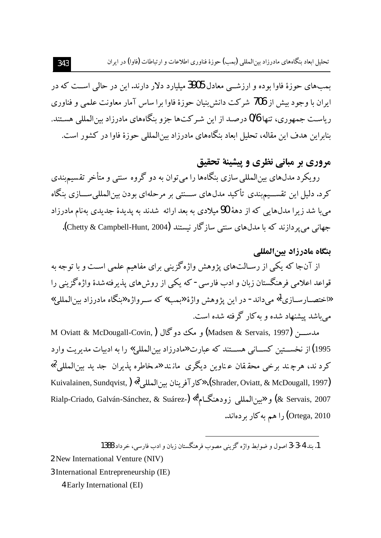بمبهای حوزهٔ فاوا بوده و ارزشــی معادل 3905 میلیارد دلار دارند. این در حالی اســت که در ایران با وجود بیش از 706 شرکت دانش بنیان حوزهٔ فاوا برا ساس آمار معاونت علمی و فناوری ریاست جمهوری، تنها 0/6 درصد از این شر کتها جزو بنگاههای مادرزاد بین المللی هستند. بنابراین هدف این مقاله، تحلیل ابعاد بنگاههای مادرزاد بین|لمللی حوزهٔ فاوا در کشور است.

# مروري بر مباني نظري و پيشينهٔ تحقيق

رویکرد مدلهای بین|لمللی سازی بنگاهها را می توان به دو گروه سنتی و متأخر تقسیم بندی کرد. دلیل این تقســیم بندی تأکید مدلهای ســنتی بر مرحلهای بودن بین|لمللی ســازی بنگاه م با شد زیرا مدلهایی که از دههٔ 90 میلادی به بعد ارائه شدند به پدیدهٔ جدیدی بهنام مادرزاد جهاني مي پر دازند كه با مدلهاي سنتي سازگار نيستند (Chetty & Campbell-Hunt, 2004).

### بنگاه مادرزاد بينالمللي

از آنجا که یکی از رسـالتهای پژوهش واژهگزینی برای مفاهیم علمی اسـت و با توجه به قواعد اعلامی فرهنگستان زبان و ادب فارسی - که یکی از روش های پذیرفتهشدهٔ واژهگزینی را «اختصــارســازي آ» مي داند- در اين پژوهش واژهٔ «بمب» كه ســرواژه «بنگاه مادرزاد بين المللي» می باشد پیشنهاد شده و به کار گرفته شده است.

مدســــن (Madsen & Servais, 1997) و مك دوگال (Madsen & Servais, 1997) M Oviatt & McDougall-Covin 1995) از نخســـتين كســـاني هســـتند كه عبارت «مادرزاد بين|لمللي» را به ادبيات مديريت وارد کرد ند، هرچند برخی محققان عناوین دیگری مانند «مخاطره پذیران جد ید بینالمللی<sup>2</sup>» Kuivalainen, Sundqvist, ) «كار آفرينان بين المللي 8» (Shrader, Oviatt, & McDougall, 1997) Rialp-Criado, Galván-Sánchez, & Suárez-) «أَمْ الْعَرْبَاطِيلِ زودهنگام» Rialp-Criado, Galván-Sánchez, & Suárez-) Ortega, 2010) را هم به كار بر دهاند.

1. بند 4-3-3 اصول و ضوابط واژه گزینی مصوب فرهنگستان زبان و ادب فارسی، خرداد 1388

2 New International Venture (NIV)

3 International Entrepreneurship (IE)

4 Early International (EI)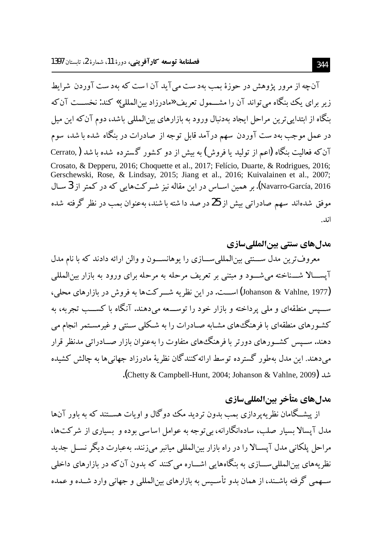آن چه از مرور پژوهش در حوزهٔ بمب بهدست می آید آن است که بهدست آوردن شرایط زیر برای یک بنگاه می تواند آن را مشــمول تعریف «مادرزاد بین|لمللی» کند: نخســت آن که ینگاه از ابتدایی ترین مراحل ایجاد بهدنبال ورود به بازارهای بینالمللی باشد، دوم آن که این میل در عمل موجب بهدست آوردن سهم درآمد قابل توجه از صادرات در بنگاه شده با شد، سوم آن که فعالیت بنگاه (اعم از تولید یا فروش) به بیش از دو کشور گسترده شده با شد ( Cerrato, Crosato, & Depperu, 2016; Choquette et al., 2017; Felício, Duarte, & Rodrigues, 2016; Gerschewski, Rose, & Lindsay, 2015; Jiang et al., 2016; Kuivalainen et al., 2007; Navarro-García, 2016). بر همین اســاس در این مقاله نیز شــر کتIهایی که در کمتر از 3 ســال موفق شدهاند سهم صادراتی بیش از 25 در صد داشته با شند، بهعنوان بمب در نظر گرفته شده اند.

هدلهاي سنتي بينالمللي سازي معروف ترین مدل ســنتی بینالمللیســازی را یوهانســون و والن ارائه دادند که با نام مدل آيســـالا شــــناخته مى شـــود و مبتنى بر تعريف مرحله به مرحله براي ورود به بازار بين|لمللي (Johanson & Vahlne, 1977) اســـت. در این نظریه شـــر کت۱ا به فروش در بازارهای محلی، ســیس منطقهای و ملی پرداخته و بازار خود را توســعه می،دهند. آنگاه با کســب تجربه، به کشـورهای منطقهای با فرهنگ\$های مشـابه صـادرات را به شـکلی سـنتی و غیرمسـتمر انجام می دهند. ســیس کشــورهای دورتر با فرهنگ&ای متفاوت را بهعنوان بازار صــادراتی مدنظر قرار می دهند. این مدل بهطور گسترده توسط ارائه کنندگان نظریهٔ مادرزاد جهانی ها به چالش کشیده .(Chetty & Campbell-Hunt, 2004; Johanson & Vahlne, 2009) |

## هدل هاي متأخر بينالمللي سازي

از پیشـگامان نظریهپردازی بمب بدون تردید مک دوگال و اویات هســتند که به ىاور آنها مدل آپسالا بسیار صلب، سادهانگارانه،پے توجه به عوامل اساسے بوده و پیساری از شرکتها، مراحل پلکانی مدل آپسـالا را در راه بازار بین|لمللی میانبر می;نند. بهعبارت دیگر نســل جدید نظر بههای میزالمللی ســـازی به بنگاههایی اشـــاره می کنند که بدون آن که در بازارهای داخلی سهمی گرفته باشـند، از همان بدو تأسـبس به بازارهای بین(لمللے و جهانب وارد شـبده و عمده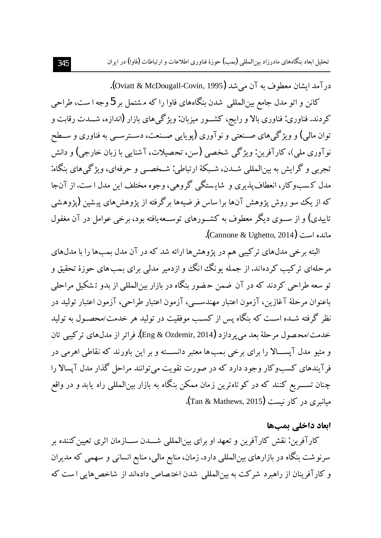تحلیل ابعاد بنگاههای مادرزاد بین المللی (یمب) حوزهٔ فناوری اطلاعات و ارتباطات (فاوا) در ایران

در آمد ایشان معطوف به آن می شد (Oviatt & McDougall-Covin, 1995). کانن و اتو مدل جامع بینالمللی شدن بنگاههای فاوا را که مشتمل بر 5 وجه ا ست، طراحی کردند. فناوری: فناوری بالا و رایج، کشــور میزبان: ویژگی های بازار (اندازه، شــدت رقابت و توان مالي) و ويژگي هاي صــنعتي و نوآوري (يوپايي صــنعت، دســترســي به فناوري و ســطح نو آوري ملي)، کارآفرين: ويژگي شخصي (سن، تحصيلات، آشنايي با زيان خارجي) و دانش تجربي و گرايش به بينالمللي شــدن، شــبكهٔ ارتباطي: شــخصــي و حرفهاي، ويژگي هاي بنگاه: مدل کسبوکار، انعطاف پذیری و شاپستگی گروهی، وجوه مختلف این مدل ا ست. از آنجا که از یک سو روش پژوهش آنها برا ساس فر ضیهها بر گرفته از پژوهش های پیشین (پژوهشی تاییدی) و از ســوی دیگر معطوف به کشــورهای توســعهیافته بود، برخی عوامل در آن مغفول مانده است (Cannone & Ughetto, 2014).

البته برخی مدلهای ترکیبی هم در پژوهشها ارائه شد که در آن مدل بمبها را با مدلهای مرحلهای ترکیب کردهاند. از جمله یو نگ انگ و ازدمیر مدلی برای بمب های حوزهٔ تحقیق و تو سعه طراحی کردند که در آن ضمن حضور پنگاه در بازار بین(لمللی از بدو تشکیل مراحلی باعنوان مرحلهٔ آغازین، آزمون اعتبار مهندســـی، آزمون اعتبار طراحی، آزمون اعتبار تولید در نظر گرفته شــده اســت که بنگاه پس از کســب موفقیت در تولید هر خدمت/محصــول به تولید خدمت/محصول مرحلهٔ بعد مي يردازد (Eng & Ozdemir, 2014). فراتر از مدلهاي تركيبي تان و متبو ً مدل آیســـالا را برای برخی بـمب ها معتبر دانســـته و بر این باورند که نقاطی اهرمی در فرآیندهای کسبوکار وجود دارد که در صورت تقویت می توانند مراحل گذار مدل آیسالا را چنان تســــریع کنند که در کوتاهترین زمان ممکن بنگاه به بازار بینالمللی راه یابد و در واقع مبانیری در کار نیست (Tan & Mathews, 2015).

### ابعاد داخلي بمبها

كارآفرين: نقش كارآفرين و تعهد او براي بينالمللي شـــدن ســـازمان اثرى تعيين كننده بر سرنوشت بنگاه در بازارهای بینالمللی دارد. زمان، منابع مالی، منابع انسانی و سهمی که مدیران و کارآفرینان از راهبرد شرکت به بینالمللی شدن اختصاص دادهاند از شاخصهایی است که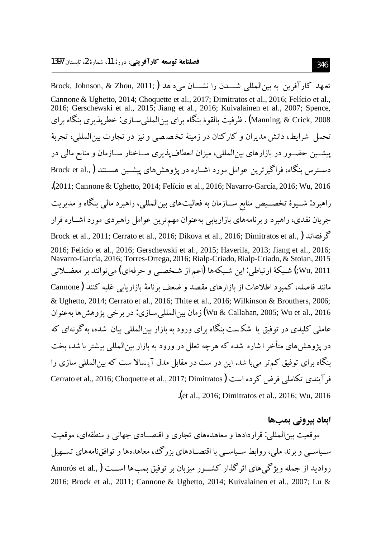.<br>تعهد كارآفرين به بين المللي شـــدن را نشـــان مي دهد ( Brock, Johnson, & Zhou, 2011; Cannone & Ughetto, 2014; Choquette et al., 2017; Dimitratos et al., 2016; Felício et al., 2016; Gerschewski et al., 2015; Jiang et al., 2016; Kuivalainen et al., 2007; Spence, Manning, & Crick, 2008) . ظرفيت بالقوۂ بنگاه براي بين المللي سـازي: خطريذيري بنگاه براي تحمل شرايط، دانش مديران و كاركنان در زمينهٔ تخصصي و نيز در تجارت بين|لمللي، تجربهٔ پیشــین حضــور در بازارهای بین|لمللی، میزان انعطافپذیری ســاختار ســازمان و منابع مالی در دسترس بنگاه، فراگیرترین عوامل مورد اشــاره در یژوهش های پیشــین هســتند (,.Brock et al .<br>(2011; Cannone & Ughetto, 2014; Felício et al., 2016; Navarro-García, 2016; Wu, 2016. راهبرد: شـــیوهٔ تخصـــیص منابع ســـازمان به فعالیت۱مای بین|لمللی، راهبرد مالی بنگاه و مدیریت جريان نقدي، راهبرد و برنامههاي بازاريابي بهعنوان مهم ترين عوامل راهبردي مورد اشــاره قرار Brock et al., 2011; Cerrato et al., 2016; Dikova et al., 2016; Dimitratos et al., ) كَرْ فتهاند ( 2016; Felício et al., 2016; Gerschewski et al., 2015; Haverila, 2013; Jiang et al., 2016; Navarro-García, 2016; Torres-Ortega, 2016; Rialp-Criado, Rialp-Criado, & Stoian, 2015 Wu, 2011;) شبكهٔ ارتباطي: اين شبكهها (اعم از شـخصـي و حرفهاي) مي توانند بر معضـلاتي مانند فاصله، کمبود اطلاعات از بازارهای مقصد و ضعف برنامهٔ بازاریابی غلبه کنند ( Cannone & Ughetto, 2014; Cerrato et al., 2016; Thite et al., 2016; Wilkinson & Brouthers, 2006; Wu & Callahan, 2005; Wu et al., 2016) زمان بينالمللي سـازي: در برخي پژوهشها بهعنوان عاملی کلیدی در توفیق یا شکست پنگاه برای ورود به بازار بین(لمللی بیان شده، به گونهای که در یژوهش های متأخر ا شاره شده که هرچه تعلل در ورود به بازار بینالمللی بیشتر با شد، بخت بنگاه برای توفیق کم تر می با شد. این در ست در مقابل مدل آیسالا ست که بین المللی سازی را فر آیندی تکاملی فرض کرده است ( Cerrato et al., 2016; Choquette et al., 2017; Dimitratos let al., 2016; Dimitratos et al., 2016; Wu, 2016.

ابعاد پیرونے میصوا

موقعیت بینالمللی: قراردادها و معاهدههای تجاری و اقتصـادی جهانی و منطقهای، موقعیت سیاسے و برند ملی، روابط سیاسے یا اقتصادهای بزرگئ، معاهدهها و توافق نامههای تستهیل رواديد از جمله ويژگي هاي اثر گذار كشــور ميزبان بر توفيق بمبـها اســـت (,.Amorós et al 2016; Brock et al., 2011; Cannone & Ughetto, 2014; Kuivalainen et al., 2007; Lu &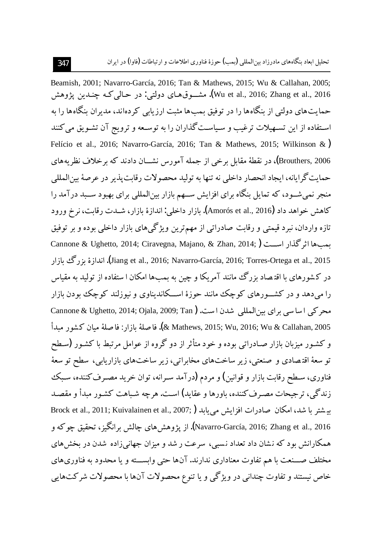Beamish, 2001; Navarro-García, 2016; Tan & Mathews, 2015; Wu & Callahan, 2005; Wu et al., 2016; Zhang et al., 2016). مشـــوق(هـاي دولتي: در حـالبي كــه چنــدين يژوهش حمایتهای دولتی از بنگاهها را در توفیق بمبها مثبت ارزیابی کردهاند، مدیران بنگاهها را به استفاده از این تسهیلات ترغیب و سیاستگذاران را به توسـعه و ترویج آن تشـویق می کنند Felício et al., 2016; Navarro-García, 2016; Tan & Mathews, 2015; Wilkinson &) Brouthers, 2006)، در نقطهٔ مقابل برخی از جمله آمورس نشـــان دادند که برخلاف نظریههای حمایت گرایانه، ایجاد انحصار داخلی نه تنها به تولید محصولات رقابت پذیر در عرصهٔ پین المللی منجر نمی شـود، که تمایل بنگاه برای افزایش سـهم بازار بین(لمللی برای بهبود سـبد درآمد را كاهش خواهد داد (Amorós et al., 2016). بازار داخلي: اندازهٔ بازار، شــدت رقابت، نرخ ورود .<br>تازه واردان، نبرد قیمتی و رقابت صادراتی از مهمترین ویژگیهای بازار داخلی بوده و بر توفیق Cannone & Ughetto, 2014; Ciravegna, Majano, & Zhan, 2014; ) سباها اثر كذار اسبت ( 15).Jiang et al., 2016; Navarro-García, 2016; Torres-Ortega et al., 2015). اندازهٔ بز رگ مازار در کشورهای با اقتصاد بزرگ مانند آمریکا و چین به بمبها امکان ا ستفاده از تولید به مقیاس را مه دهد و در کشــورهای کوچک مانند جوزهٔ اســکاندیناوی و نیوزلند کوچک بودن بازار محر کے اساسی برای بین المللی شدن است. Cannone & Ughetto, 2014; Ojala, 2009; Tan) 2005 .k Mathews, 2015; Wu, 2016; Wu & Callahan). فا صلة مازار : فا صلة مبان كشور مبدأ و کشور میزبان بازار صـادراتی بوده و خود متأثر از دو گروه از عوامل مرتبط با کشـور (سـطح تو سعهٔ اقتصادی و صنعتی، زیر ساختهای مخابراتی، زیر ساختهای بازاریابی، سطح تو سعهٔ فناوری، سـطح رقابت بازار و قوانین) و مردم (درآمد سـرانه، توان خرید مصـرف کننده، سـبک زندگی، ترجیحات مصبرف کننده، ماورها و عقابد) است. هر چه شیاهت کشور میدأ و مقصد بیشتر با شد، امکان صادرات افزایش می یابد (Brock et al., 2011; Kuivalainen et al., 2007; Navarro-García, 2016; Zhang et al., 2016). از يژوهش هاي چالش برانگيز ، تحقيق چوكه و همکارانش بود که نشان داد تعداد نسبی، سرعت ر شد و میزان جهانی زاده شدن در بخش های مختلف صـــنعت با هم تفاوت معناداري ندارند. آنها حتى وابســـته و يا محدود به فناوريهاي خاص نیستند و تفاوت چندانی در ویژگی و یا تنوع محصولات آنها با محصولات شرکتهایی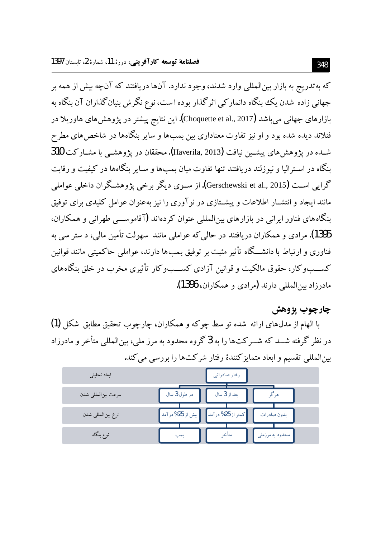که بهتدریج به بازار بین|لمللی وارد شدند، وجود ندارد. آنها دریافتند که آنچه بیش از همه بر جهانی زاده شدن یک بنگاه دانمارکی اثرگذار بوده است، نوع نگرش بنیان گذاران آن بنگاه به بازارهای جهانی می باشد (Choquette et al., 2017**).** این نتایج پیشتر در یژوهش های هاوریلا در فنلاند دیده شده بود و او نیز تفاوت معناداری بین بمبها و سایر بنگاهها در شاخص های مطرح شـده در يژوهش هاي پيشـين نيافت (Haverila, 2013). محققان در يژوهشـي با مشـاركت 310 بنگاه در اسـتراليا و نيوزلند دريافتند تنها تفاوت ميان بمب۱ها و سـاير بنگاهها در كيفيت و رقابت گرایی است (Gerschewski et al., 2015). از سـوی دیگر برخی پژوهشـگران داخلی عواملی مانند ایجاد و انتشــار اطلاعات و پیشــتازی در نو آوری را نیز بهعنوان عوامل کلیدی برای توفیق بنگاههای فناور ایرانی در بازارهای بین المللی عنوان کردهاند (آقاموســـی طهرانی و همکاران، 1395). مرادی و همکاران دریافتند در حالی که عواملی مانند ًسهولت تأمین مالی، د ستر سی به فناوری و ارتباط با دانشـــگاه تأثیر مثبت بر توفیق بمب۱ دارند، عواملی حاکمیتی مانند قوانین کســـــــــوکار، حقوق مالکيت و قوانين آزادي کســـــــــــوو تأثيري مخرب در خلق بنگاههاي مادرزاد بین المللی دارند (مرادی و همکاران، 1396).

### چارچوب پژوهش

با الهام از مدلهای ارائه شده تو سط چوکه و همکاران، چارچوب تحقیق مطابق شکل (1) در نظر گرفته شــد که شــرکت۱وا را به 3گروه محدود به مرز ملبی، سرالمللبی متأخر و مادرزاد بینالمللی تقسیم و ابعاد متمایز کنندهٔ رفتار شرکتها را بررسی می کند.

| ابعاد تحليلي        | رفتار صادراتي                                             |
|---------------------|-----------------------------------------------------------|
| سرعت بين المللي شدن | در طول 3 سال<br>بعد از 3 سال                              |
| نرخ بين المللي شدن  | كمتر از 25% درآمد  <br>  بیش از 25% در آمد<br>بدون صادرات |
| نوع بنگاه           | متاخ<br>محدود به مرزملی<br>بمب                            |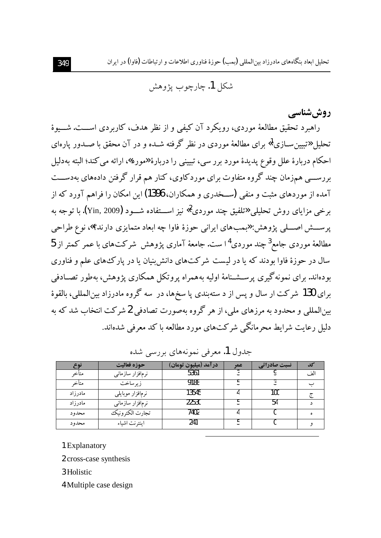تحلیل ایعاد پنگاههای مادرزاد بین المللی (یمپ) جوزهٔ فناوری اطلاعات و ارتباطات (فاوا) در ایران

شکل 1. چارچوب پژوهش

روش شناسے

راهبرد تحقیق مطالعهٔ موردی، رویکرد آن کیفی و از نظر هدف، کاربردی اســـت. شـــیوهٔ تحلیل «تبیین ســازی<sup>1</sup>» برای مطالعهٔ موردی در نظر گرفته شــده و در آن محقق با صــدور پارهای احکام دربارهٔ علل وقوع پدیدهٔ مورد برر سی، تبیینی را دربارهٔ «مورد»، ارائه می کند؛ البته بهدلیل بررســـی همزمان چند گروه متفاوت برای موردکاوی، کنار هم قرار گرفتن دادههای بهدســـت آمده از موردهای مثبت و منفی (ســخدری و همکاران، 1396) این امکان را فراهم آورد که از برخي مزاياي روش تحليلي «تلفيق چند موردي<sup>2</sup>» نيز اســـتفاده شـــود (2009).ri با توجه به یر ســـش اصــــلی پژوهش: «بمبهای ایرانی حوزهٔ فاوا چه ابعاد متمایزی دارند؟»، نوع طراحی مطالعهٔ موردی جامع<sup>3</sup> چند موردی<sup>1</sup>ا ست. جامعهٔ آماری یژوهش شرکتهای با عمر کمتر از 5 سال در حوزهٔ فاوا بودند که یا در لیست شرکتهای دانش بنیان یا در یارک های علم و فناوری بو دهاند. برای نمونه گیری پرسشـنامهٔ اولیه بههمراه پروتکل همکاری پژوهش، بهطور تصـادفی براي 130 شركت ار سال و يس از د ستهبندي يا سخرها، در سه گروه مادرزاد بين المللي، بالقوهٔ بینالمللی و محدود به مرزهای ملی، از هر گروه بهصورت تصادفی 2 شرکت انتخاب شد که به دلیل رعایت شرایط محرمانگے شرکتهای مورد مطالعه با کد معرفی شدهاند.

| نوع       | حوزه فعاليت       | 'درآمد (میلیون تومان) | عمر | نسبت صادراتی |     |
|-----------|-------------------|-----------------------|-----|--------------|-----|
| متأخر     | نرمافزار سازمانبي | 5361                  |     |              | الف |
| متاخر     | زير ساخت          | 9188                  |     |              |     |
| مادر ز اد | نرمافزار موبايلبي | 13545                 |     | 100          |     |
| مادر ز اد | نرمافزار سازمانبي | 22530                 |     |              |     |
| محدود     | تجارت الكترونيك   | 7402                  |     |              |     |
| محدود     | اينترنت اشياء     | 241                   |     |              |     |

جدول 1. معرفی نمونههای پررسی شده

1 Explanatory

2 cross-case synthesis

3 Holistic

4 Multiple case design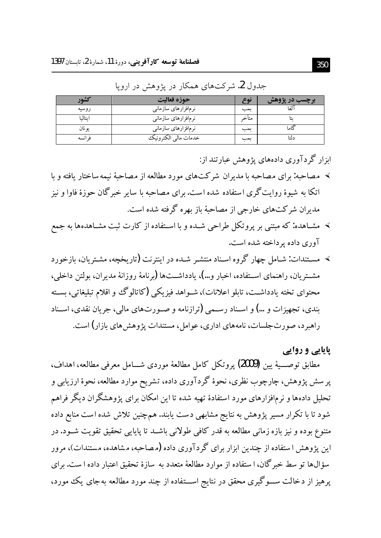| شەر     | حوزه فعاليت          | نم ڪ  | $-2$ |
|---------|----------------------|-------|------|
| روسيه   | نرمافزارهای سازمانی  | بمب   | آلفا |
| ايتاليا | نرمافزارهای سازمانبی | متاخہ |      |
| يو نان  | نرمافزارهای سازمانی  | بمب   |      |
| فر انسه | خدمات مالي الكترونيك | بمب   |      |

جدول 2. شرکتهای همکار در پژوهش در اروپا

ابزار گردآوری دادههای پژوهش عبارتند از:

- > ً مصاحبه: براي مصاحبه با مديران شركتهاي مورد مطالعه از مصاحبهٔ نيمه ساختار يافته و با اتکا به شیوهٔ روایت گری استفاده شده است. برای مصاحبه با سایر خبر گان حوزهٔ فاوا و نیز مدیران شرکتهای خارجی از مصاحبهٔ باز بهره گرفته شده است.
- > مشـاهده: که مبتنی بر پروتکل طراحی شـده و با اسـتفاده از کارت ثبت مشـاهدهها به جمع آوري داده بر داخته شده است.
- > مسـتندات: شـامل چهار گروه اسـناد منتشـر شـده در اينترنت (تاريخچه، مشـتريان، بازخورد مشــتريان، راهنماي اســتفاده، اخبار و…)، يادداشــتها (برنامهٔ روزانهٔ مديران، بولتن داخلي، محتواي تخته يادداشـت، تابلو اعلانات)، شــواهد فيزيكي (كاتالوگ و اقلام تبليغاتي، بســته بندي، تجهيزات و …) و اسـناد رسـمي (ترازنامه و صـورتهاي مالي، جريان نقدي، اسـناد راهبرد، صورتجلسات، نامههای اداری، عوامل، مستندات پژوهش های بازار) است.

پایایی و روایی

مطابق توصـــيهٔ يين (2009) پروتكل كامل مطالعهٔ موردی شـــامل معرفی مطالعه، اهداف، پر سش پژوهش، چارچوب نظری، نحوهٔ گردآوری داده، تشریح موارد مطالعه، نحوهٔ ارزیابی و تحلیل دادهها و نرمافزارهای مورد استفادهٔ تهیه شده تا این امکان برای پژوهشگران دیگر فراهم شود تا با تکرار مسیر پژوهش به نتایج مشابهی دست یابند. همچنین تلاش شده است منابع داده متنوع بوده و نیز بازه زمانی مطالعه به قدر کافی طولانی باشــد تا پایایی تحقیق تقویت شــود. در این پژوهش ا ستفاده از چندین ابزار برای گردآوری داده (مصاحبه، مشاهده، مستندات)، مرور سؤالها تو سط خبر گان، ا ستفاده از موارد مطالعهٔ متعدد به سازهٔ تحقیق اعتبار داده ا ست. برای پرهیز از دخالت ســـوگیری محقق در نتایج اســـتفاده از چند مورد مطالعه بهجای یک مورد،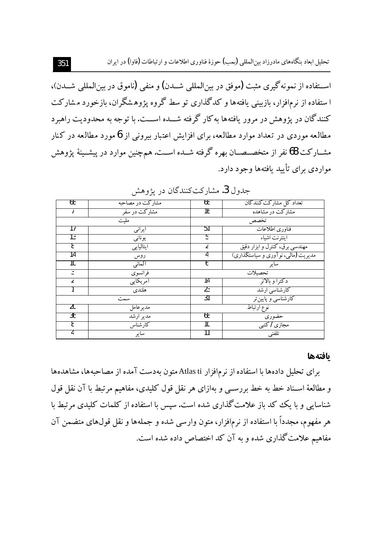تحلیل ابعاد بنگاههای مادرزاد بین المللی (بمب) حوزهٔ فناوری اطلاعات و ارتباطات (فاوا) در ایران

اســتفاده از نمونه گيري مثبت (موفق در بينالمللي شــدن) و منفي (ناموق در بين|لمللي شــدن)، ا ستفاده از نرمافزار، بازبینی یافتهها و کدگذاری تو سط گروه پژوهشگران، بازخورد مشارکت کنندگان در پژوهش در مرور یافتهها به کار گرفته شـــده اســـت. با توجه به محدودیت راهبرد مطالعه موردی در تعداد موارد مطالعه، برای افزایش اعتبار بیرونی از 6 مورد مطالعه در کنار مشــارکت 68 نفر از متخصــصــان بهره گرفته شــده اســت. هـمچنین موارد در پیشــینهٔ پژوهش مواردی برای تأیید یافتهها وجود دارد.

| 68  | مشارکت در مصاحبه | 68 | تعداد کل مشارکت کنندگان             |
|-----|------------------|----|-------------------------------------|
|     | مشارکت در سفر    | 16 | مشارکت در مشاهده                    |
| ملت |                  |    | تخصص                                |
| 17  | ايرانبي          | 51 | فناوری اطلاعات                      |
| 13  | يوناني           | b  | اينترنت اشياء                       |
| 8   | ايتاليايي        |    | مهندسی برق، کنترل و ابزار دقیق      |
| 14  | روس              |    | مدیریت (مالبی، نوآوری و سیاستگذاری) |
| 10  | ألماني           | o  | ساير                                |
| 3   | فرانسوى          |    | تحصلات                              |
| 2   | آمريكايي         | 14 | دكتراو ىالاتر                       |
|     | هلندى            | 23 | کارشناسی ارشد                       |
|     | سمت              | 31 | کارشناسی و پایین تر                 |
| 20  | مدير عامل        |    | نوع ارتبا <del>ط</del>              |
| 36  | مدير ارشد        | 68 | حضوري                               |
| 8   | كارشناس          | 10 | مجازی <del>7کتبی</del>              |
| 4   | ساير             |    | تلفنى                               |

جدول 3. مشارکتکنندگان در پژوهش

#### بافتهها

براي تحليل دادهها با استفاده از نرمافزار Atlas ti متون بهدست آمده از مصاحبهها، مشاهدهها و مطالعهٔ اسـناد خط به خط بررســي و بهازاي هر نقل قول كليدي، مفاهيم مرتبط با آن نقل قول شناسایی و با یک کد باز علامت گذاری شده است. سپس با استفاده از کلمات کلیدی مرتبط با هر مفهوم، مجدداً با استفاده از نرمافزار، متون وارسی شده و جملهها و نقل قولهای متضمن آن مفاهیم علامت گذاری شده و به آن کد اختصاص داده شده است.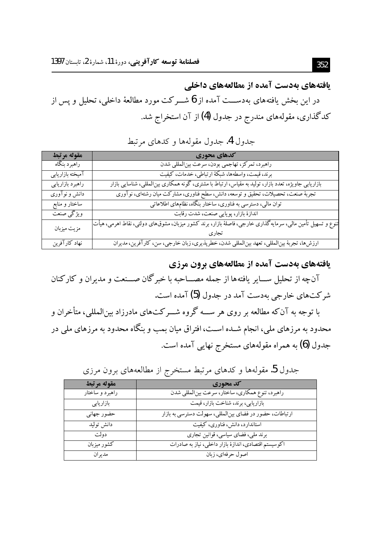یافتههای بهدست آمده از مطالعههای داخلی در این بخش یافتههای بهدســـت آمده از 6 شـــرکت مورد مطالعهٔ داخلی، تحلیل و پس از کدگذاری، مقولههای مندرج در جدول (4) از آن استخراج شد.

### جدول 4. جدول مقولهها و كدهاى مرتبط

| مقوله مرتبط      | كدهاي محوري                                                                                                  |
|------------------|--------------------------------------------------------------------------------------------------------------|
| راهبرد بنگاه     | راهبرد، تمركز، تهاجمي بودن، سرعت بينالمللي شدن                                                               |
| آميخته بازاريابي | برند، قیمت، واسطهها، شبکهٔ ارتباطی، خدمات، کیفیت                                                             |
| راهبرد بازاريابي | بازاریابی جاویژه، تعدد بازار، تولید به مقیاس، ارتباط با مشتری، گونه همکاری بینالمللی، شناسایی بازار          |
| دانش و نوآوری    | تجربهٔ صنعت، تحصیلات، تحقیق و توسعه، دانش، سطح فناوری، مشارکت میان رشتهای، نوآوری                            |
| ساختار و منابع   | توان مالی، دسترسی به فناوری، ساختار بنگاه، نظامهای اطلاعاتی                                                  |
| ويژگى صنعت       | اندازهٔ بازار، پویایی صنعت، شدت رقابت                                                                        |
| مزيت ميزبان      | تنوع و تسهیل تأمین مالی، سرمایه گذاری خارجی، فاصلهٔ بازآر، برند کشور میزبان، مشوقهای دولتی، نقاط اهرمی، هیأت |
|                  |                                                                                                              |
| نهاد كارآفرين    | ارزش ها، تجربهٔ بینالمللی، تعهد بینالمللی شدن، خطرپذیری، زبان خارجی، سن، کارآفرین، مدیران                    |

یافتههای بهدست آمده از مطالعههای برون مرزی

آنچه از تحلیل ســـایر یافتهها از جمله مصـــاحبه با خبرگان صـــنعت و مدیران و کارکنان شرکتهای خارجی بهدست آمد در جدول (5) آمده است.

با توجه به آنکه مطالعه بر روی هر ســـه گروه شـــرکتهای مادرزاد بینالمللی، متأخران و محدود به مرزهای ملی، انجام شــده اســت، افتراق میان بمب و بنگاه محدود به مرزهای ملی در جدول (6) به همراه مقولههای مستخرج نهایی آمده است.

| مقوله مرتبط     | کد محوری                                                |
|-----------------|---------------------------------------------------------|
| راهبرد و ساختار | راهبرد، تنوع همکاری، ساختار، سرعت بینالمللی شدن         |
| بازاريابى       | بازاریابی، برند، شناخت بازار، قیمت                      |
| حضور جهاني      | ارتباطات، حضور در فضای بینالمللی، سهولت دسترسی به بازار |
| دانش توليد      | استاندارد، دانش، فناوری، کیفیت                          |
| دولت            | برند ملی، فضای سیاسی، قوانین تجاری                      |
| کشو ر مبز ىان   | اکوسیستم اقتصادی، اندازهٔ بازار داخلی، نیاز به صادرات   |
| مدير ان         | اصول حرفهای، زبان                                       |

جدول 5. مقولهها و کدهای مرتبط مستخرج از مطالعههای برون مرزی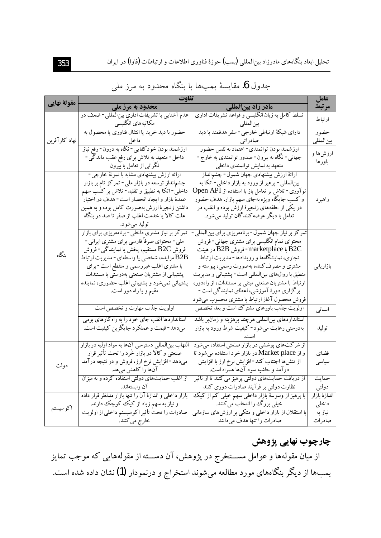| مقولة نهايي   | تفاوت                                                  |                                                      |               |  |  |
|---------------|--------------------------------------------------------|------------------------------------------------------|---------------|--|--|
|               | محدود به مرز ملی                                       | مادر زاد بین لمللی                                   | مرتبط         |  |  |
|               | عدم آشنایی با تشریفات اداری بینالمللی-ضعف در           | تسلط کامل به زبان انگلیسی و قواعد تشریفات اداری      | ارتباط        |  |  |
|               | مکاتبههای انگلیسی                                      | بينالمللي                                            |               |  |  |
|               | حضور با دید خرید یا انتقال فناوری یا محصول به          | دارای شبکهٔ ارتباطی خارجی- سفر هدفمند با دید         | حضور          |  |  |
| نهاد كارآفرين | داخل                                                   | صادراتى                                              | بين المللي    |  |  |
|               | ارزشمند بودن خودکفایی- نگاه به درون- رفع نیاز          | ارزشمند بودن توانمندي- اعتماد به نفس حضور            | ارزشها و      |  |  |
|               | داخل- متعهد به تلاش برای رفع عقب ماندگی -              | جهاني- نگاه به بيرون- صدور توانمندي به خارج-         | باورها        |  |  |
|               | نگرانی از تعامل با بیرون                               | متعهد به نمایش توانمندی داخلی                        |               |  |  |
|               | ارائه ارزش پیشنهادی مشابه با نمونهٔ خارجی-             | ارائهٔ ارزش پیشنهادی جهان شمول-چشمانداز              |               |  |  |
|               | چشم نداز توسعه در بازار ملی- تمرکز تام بر بازار        | بینالمللی- پرهیز از ورود به بازار داخلی- اتکا به     |               |  |  |
|               | داخلی - اتکا به تطبیق و تقلید- تلاش بر کسب سهم         | نوآوری- تلاش بر تعامل باز با استفاده از Open API     |               |  |  |
|               | عمدهٔ بازار و ایجاد انحصار است- هدف در اختیار          | و کسب جایگاه ویژه بهجای سهم بازار. هدف حضور          | راهبرد        |  |  |
|               | داشتن زنجیرهٔ ارزش بهصورت کامل بوده و به همین          | در یکی از حلقههای زنجیرهٔ ارزش بوده و اغلب در        |               |  |  |
|               | علت کالا یا خدمت اغلب از صفر تا صد در بنگاه            | تعامل با دیگر عرضه کنندگان تولید میشود.              |               |  |  |
|               | توليد مي شود.                                          |                                                      |               |  |  |
|               | تمرکز بر نیاز مشتری داخلی - برنامهریزی برای بازار      | تمرکز بر نیاز جهان شمول- برنامهریزی برای بینالمللی-  |               |  |  |
|               | ملي- محتواي صرفاً فارسي براي مشتري ايراني-             | محتواي تمام انگليسي براي مشتري جهاني- فروش           |               |  |  |
| ىنگاه         | فروش B2C مستقیم، پخش یا نمایندگ <sub>ی</sub> - فروش    | B2C با marketplace- فروش B2B در هیئت                 |               |  |  |
|               | B2B مزایده، شخصی یا واسطهای- مدیریت ارتباط             | تجاری، نمایشگاهها و رویدادها- مدیریت ارتباط          |               |  |  |
|               | با مشتری اغلب غیررسمی و منقطع است- برای                | مشتری و مصرف کننده بهصورت رسمی، پیوسته و             | بازاريابي     |  |  |
|               | پشتیبانی از مشتریان صنعتی بهدرستی با مستندات           | منطبق با روال های بین المللی است- پشتیبانی و مدیریت  |               |  |  |
|               | پشتیبانی نمی شود و پشتیبانی اغلب حضوری، نماینده        | ارتباط با مشتریان صنعتی مبتنی بر مستندات، از راهدور، |               |  |  |
|               | مقیم و یا راه دور است.                                 | برگزاری دورهٔ آموزشی، اعطای نمایندگی است-            |               |  |  |
|               |                                                        | فروش محصول آغاز ارتباط با مشتری محسوب میشود          |               |  |  |
|               | اولویت جذب مهارت و تخصص است                            | اولویت جذب باورهای مشترک است و بعد تخصص              | انسانى        |  |  |
|               | استانداردها اغلب جای خو د را به راه کارهای بومی        | استانداردهای بینالمللی هرچند پرهزینه و زمان بر باشد  |               |  |  |
|               | میدهد- قیمت و عملکرد جایگزین کیفیت است.                | بهدرستی رعایت میشود- کیفیت شرط ورود به بازار         | توليد         |  |  |
|               |                                                        |                                                      |               |  |  |
|               | التهاب بینالمللی دسترسی آنها به مواد اولیه در بازار    | از شرکتهای پوششی در بازار صنعتی استفاده میشود        |               |  |  |
|               | صنعتی و کالا در بازار خَرد را تحت تأثیر قرار           | و از Market place در بازار خرد استفاده میشود تا      | فضاى          |  |  |
|               | میدهد- افزایش نرخ ارز، فروش و در نتیجه درآمد           | از تنش ها اجتناب كند- افزايش نرخ ارز با افزايش       | سياسى         |  |  |
| دولت          | آنها را کاهش میهد.                                     | درآمد و حاشیه سود آنها همراه است.                    |               |  |  |
|               | از اغلب حمایتهای دولتی استفاده کرده و به میزان         | از دریافت حمایتهای دولتی پرهیز می کنند تا از تأثیر   | حمايت         |  |  |
|               | آن وابستهاند.                                          | نظارت دولتی بر فرآیند صادرات دوری کنند               | دولتي         |  |  |
|               | بازار داخلی و اندازهٔ آن را تنها بازار مدنظر قرار داده | با پرهیز از وسوسهٔ بازار داخلی سهم خیلی کم از کیک    | اندازهٔ بازار |  |  |
| اكوسيستم      | و نیاز به سهم زیاد از کیک کوچک دارند.                  | خیلی بزرگ را انتخاب می کنند.                         | داخلى         |  |  |
|               | صادرات را تحت تأثير اكوسيستم داخلي از اولويت           | با استقلال از بازار داخلی و متکی بر ارزش های سازمانی | نياز به       |  |  |
|               | خارج مي كنند.                                          | صادرات را تنها هدف میدانند.                          | صادرات        |  |  |

## جدول 6. مقايسهٔ بمبها با بنگاه محدود به مرز ملي

چارچوب نهایی پژوهش

از میان مقولهها و عوامل مســـتخرج در پژوهش، آن دســـته از مقولههایی که موجب تمایز بمبها از دیگر بنگاههای مورد مطالعه میشوند استخراج و درنمودار (1) نشان داده شده است.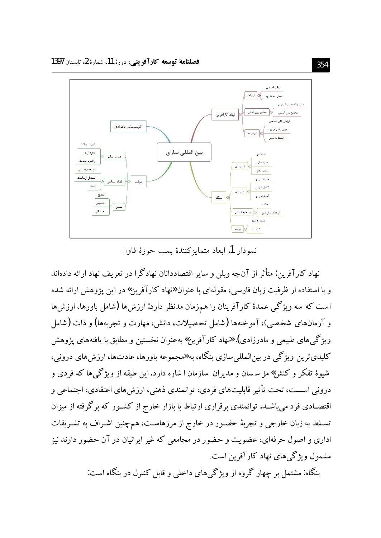

نمه دار 1. ابعاد متمايز كنندهٔ بمب حوزهٔ فاوا

نهاد کارآفرین: متأثر از آنچه وبلن و سایر اقتصاددانان نهادگرا در تعریف نهاد ارائه دادهاند و با استفاده از ظرفیت زبان فارسی، مقولهای با عنوان «نهاد کارآفرین» در این یژوهش ارائه شده است که سه ویژگی عمدهٔ کارآفرینان را همزمان مدنظر دارد: ارزش ها (شامل باورها، ارزش ها و آرمانهای شخصی)، آموختهها (شامل تحصیلات، دانش، مهارت و تجربهها) و ذات (شامل ویژگی های طبیعی و مادرزادی). «نهاد کارآفرین» بهعنوان نخستین و مطابق با یافتههای پژوهش کلیدېترین ویژگې در بین|لمللې سازې بنگاه، به «مجموعه باورها، عادتها، ارزش های درونې، شیوهٔ تفکر و کنش»مؤ سسان و مدیران سازمان ا شاره دارد. این طبقه از ویژگی ها که فردی و دروني اســـت، تحت تأثير قابليتهاي فردي، توانمندي ذهني، ارزشهاي اعتقادي، اجتماعي و اقتصــادی فرد میباشــد. توانمندی برقراری ارتباط با بازار خارج از کشــور که برگرفته از میزان تسـلط به زبان خارجی و تجربهٔ حضـور در خارج از مرزهاسـت، همچنین اشـراف به تشـریفات اداری و اصول حرفهای، عضویت و حضور در مجامعی که غیر ایرانیان در آن حضور دارند نیز مشمول ویژگی های نهاد کارآفرین است.

ىنگاه: مشتمل بر چهار گروه از ويژگي هاي داخلي و قابل كنترل در بنگاه است: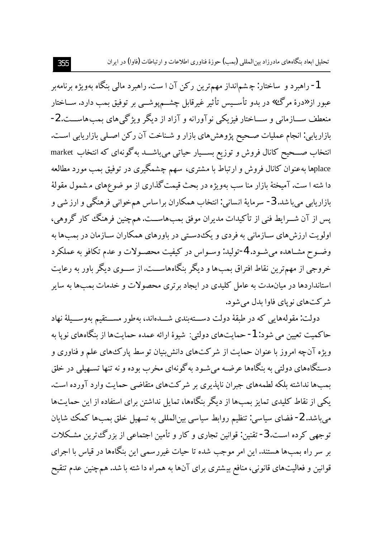تحلیل ابعاد بنگاههای مادرزاد بین المللی (بمب) حوزهٔ فناوری اطلاعات و ارتباطات (فاوا) در ایران

1- راهبرد و ساختار: چشم|نداز مهمترین رکن آن ا ست. راهبرد مالی بنگاه بهویژه برنامهبر عبور از «درهٔ مرگ» در بدو تأســیس تأثیر غیرقابل چشـــمپوشـــی بر توفیق بمب دارد. ســاختار منعطف ســـازماني و ســـاختار فيزيكي نوآورانه و آزاد از ديگر ويژگي هاي بمب۱هاســـت. 2-بازاریابی: انجام عملیات صـحیح پژوهشهای بازار و شـناخت آن رکن اصـلی بازاریابی اسـت. انتخاب صــحیح کانال فروش و توزیع بســیار حیاتی می باشــد بهگونهای که انتخاب market placeها بهعنوان کانال فروش و ارتباط با مشتری، سهم چشمگیری در توفیق بمب مورد مطالعه دا شته ا ست. آمیختهٔ بازار منا سب بهویژه در بحث قیمت گذاری از مو ضوعهای مشمول مقولهٔ بازاريابي ميباشد. 3- سرمايهٔ انساني: انتخاب همکاران براساس همخواني فرهنگي و ارز شي و يس از آن شــرايط فني از تأكيدات مديران موفق بمب۱ماســت. هم چنين فرهنگ كار گروهي، اولویت ارزش های ســازمانی به فردی و یکـُدسـتی در باورهای همکاران ســازمان در بمـــــها به وضـوح مشـاهده مي شـود. 4-توليد: وسـواس در كيفيت محصـولات و عدم تكافو به عملكرد خروجي از مهمترين نقاط افتراق بمب ها و ديگر بنگاههاســت.از ســـوي ديگر باور به رعايت استانداردها در میانمدت به عامل کلیدی در ایجاد برتری محصولات و خدمات بمبها به سایر شر کتهای نویای فاوا بدل می شود.

دولت: مقولههایی که در طبقهٔ دولت دســتهبندی شـــدهاند، بهطور مســـتقیم بهوســـیلهٔ نهاد حاكميت تعيين مي شود: 1- حمايتهاي دولتي: شيوهٔ ارائه عمده حمايتها از بنگاههاي نويا به ویژه آنچه امروز با عنوان حمایت از شرکتهای دانش بنیان توسط یارکءهای علم و فناوری و دسـتگاههای دولتی به بنگاهها عرضـه می شـود به گونهای مخرب بوده و نه تنها تسـهیلی در خلق بمبها نداشته بلکه لطمههای جبران نایذیری بر شرکتهای متقاضی حمایت وارد آورده است. یکی از نقاط کلیدی تمایز بمبها از دیگر بنگاهها، تمایل نداشتن برای استفاده از این حمایتها میباشد. 2- فضای سیاسی: تنظیم روابط سیاسی بینالمللی به تسهیل خلق بمبها کمک شایان توجهي كرده اسـت. 3- تقنين: قوانين تجاري و كار و تأمين اجتماعي از بزرگءترين مشـكلات بر سر راه بمبها هستند. این امر موجب شده تا حیات غیررسمی این بنگاهها در قیاس با اجرای قوانین و فعالیتهای قانونی، منافع بیشتری برای آنها به همراه دا شته با شد. همچنین عدم تنقیح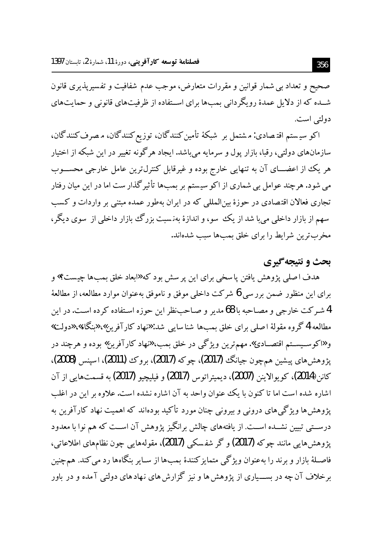صحیح و تعداد بی شمار قوانین و مقررات متعارض، موجب عدم شفافیت و تفسیرپذیری قانون شــده که از دلایل عمدهٔ رویگردانی بمبها برای اســتفاده از ظرفیتهای قانونی و حمایتهای دولتي است.

اکو سیستم اقتصادی: مشتمل بر شبکهٔ تأمین کنندگان، توزیع کنندگان، مصرف کنندگان، سازمانهای دولتی، رقبا، بازار یول و سرمایه می باشد. ایجاد هر گونه تغییر در این شبکه از اختیار هر یک از اعضـــای آن به تنهایی خارج بوده و غیرقابل کنترل¤رین عامل خارجی محســـوب می شود. هرچند عوامل بی شماری از اکو سیستم بر بمبها تأثیرگذار ست اما در این میان رفتار تجاری فعالان اقتصادی در حوزهٔ بینالمللی که در ایران بهطور عمده مبتنی بر واردات و کسب سهم از بازار داخلی می با شد از یک سو، و اندازهٔ بهنسبت بزرگ بازار داخلی از سوی دیگر ، مخرب ترین شرایط را برای خلق بمب ها سبب شدهاند.

## **بحث و نتیجه گیری**

هدف اصلي پژوهش يافتن پاسخي براي اين پر سش بود كه «ابعاد خلق بمبها چيست؟» و براي اين منظور ضمن بررسي 6 شركت داخلي موفق و ناموفق بهعنوان موارد مطالعه، از مطالعهٔ 4 شیر کت خارجی و مصـاحبه با 68 مدیر و صـاحـب نظر این حوزه اسـتفاده کرده اسـت. در این مطالعه 4 گروه مقولهٔ اصلی برای خلق بمبها شناسایی شد: «نهاد کارآفرین»، «بنگاه»، «دولت» و «اکوسـیســتم اقتصــادی». مهمترین ویژگی در خلق بمب، «نهاد کارآفرین» بوده و هرجند در پژوهش های پیشین همچون جیانگ (2017)، چوکه (2017)، بروک (2011)، اسپنس (2008)، كانن(2014)، كويوالاينن (2007)، ديميتراتوس (2017) و فيليچيو (2017) به قسمتهايي از آن اشاره شده است اما تا کنون با یک عنوان واحد به آن اشاره نشده است. علاوه بر این در اغلب یژوهش ها ویژگی های درونی و بیرونی چنان مورد تأکید بودهاند که اهمیت نهاد کارآفرین به درســتي تبيين نشــده اســت. از يافتههاي چالش برانگيز پژوهش آن اســت كه هم نوا با معدود يژوهش هايي مانند چو كه (2017) و گر شفسكي (2017)، مقولههايي چون نظامهاي اطلاعاتي، فاصـلهٔ بازار و برند را بهعنوان ویژگی متمایزکنندهٔ بمبها از سـایر بنگاهها رد می کند. همچنین برخلاف آن چه در بســـیاری از یژوهش ها و نیز گزارش های نـهادهای دولتی آمده و در باور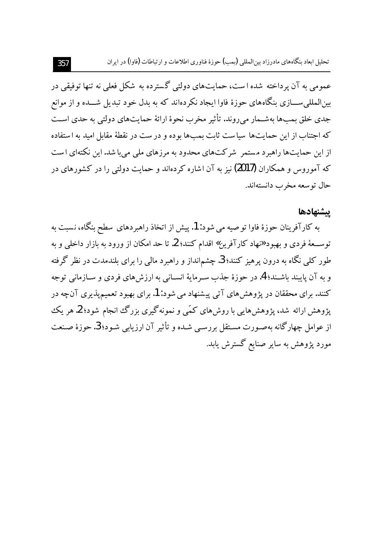عمومي به آن پرداخته شده است، حمايتهاي دولتي گسترده به شکل فعلي نه تنها توفيقي در بینالمللی ســـازی بنگاههای حوزهٔ فاوا ایجاد نکردهاند که به بدل خود تبدیل شـــده و از موانع جدي خلق بمبها بهشــمار مي روند. تأثير مخرب نحوهٔ ارائهٔ حمايتهاي دولتي به حدي اسـت که اجتناب از این حمایتها سیاست ثابت بمبها بوده و در ست در نقطهٔ مقابل امید به استفاده از این حمایتها راهبرد مستمر ً شرکتهای محدود به مرزهای ملی می با شد. این نکتهای است که آموروس و همکاران (2017) نیز به آن اشاره کردهاند و حمایت دولتی را در کشورهای در حال توسعه مخرب دانستهاند.

### يشنهادها

به کارآفرینان حوزهٔ فاوا تو صیه می شود: 1. پیش از اتخاذ راهبر دهای سطح بنگاه، نسبت به توســعهٔ فردی و بهبود «نهاد کارآفرین» اقدام کنند؛ 2. تا حد امکان از ورود به بازار داخلی و به طور کلمی نگاه به درون پرهیز کنند؛ 3. چشمانداز و راهبرد مالمی را برای بلندمدت در نظر گرفته و به آن پایبند باشـند؛ 4. در حوزهٔ جذب سـرمایهٔ انسـانی به ارزشهای فردی و سـازمانی توجه کنند. برای محققان در پژوهش های آتی پیشنهاد می شود: 1. برای بهبود تعمیم پذیری آنچه در یژوهش ارائه شد، یژوهش هایی با روش های کمّی و نمونهگیری بزرگ انجام شود؛ 2. هر یک از عوامل چهارگانه بهصـورت مسـتقل بررسـی شـده و تأثیر آن ارزیابی شـود؛ 3. حوزهٔ صـنعت مورد پژوهش به سایر صنایع گسترش یابد.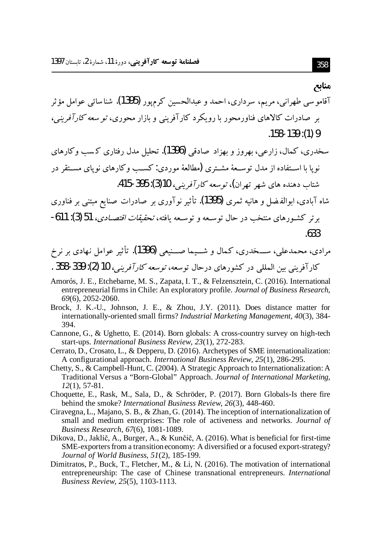#### مناىع

- آقامو سي طهراني، مريم، سرداري، احمد و عبدالحسين كرمپور **(1395)**. شناسائ<sub>ي</sub> عوامل مؤثر بر صادرات کالاهای فناورمحور با روبکرد کار آفرینر و بازار محوری، تو سع*ه کار آفرینر،*  $.158 - 139$ : (1) 9
- سخدری، کمال، زارعه ،، بھروز و پھزاد صادقی **(1396).** تحلیل مدل رفتاری کرسب و کارهای نو یا با اســتفاده از مدل توســعهٔ مشــتری (مطالعهٔ موردی: کســب وکارهای نوپای مســتقر در شتاب دهنده های شهر تهران)، توسعه کار آفرینبر، 10(3): 395-415.
- شاه آبادی، ابوالفضل و هانیه ثمری (1395). تأثیر نوآوری بر صادرات صنایع مبتنی بر فناوری برتر كشورهاي منتخب در حال توسيعه و توسيعه يافته، *تحقيقات اقتصـادي*، 51 (3): 611-.633
- مرادي، محمدعلي، ســـخدري، كـمال و شـــيما صـــنيعي (1396). تأثير عوامل نـهادي بر نرخ كارآفريني بين المللي در كشورهاي درحال توسعه، *توسعه كارآفريني،* 10 (2): 339-358 .
- Amorós, J. E., Etchebarne, M. S., Zapata, I. T., & Felzensztein, C. (2016). International entrepreneurial firms in Chile: An exploratory profile. Journal of Business Research,  $69(6)$ , 2052-2060.
- Brock, J. K.-U., Johnson, J. E., & Zhou, J.Y. (2011). Does distance matter for internationally-oriented small firms? Industrial Marketing Management, 40(3), 384-394.
- Cannone, G., & Ughetto, E. (2014). Born globals: A cross-country survey on high-tech start-ups. International Business Review, 23(1), 272-283.
- Cerrato, D., Crosato, L., & Depperu, D. (2016). Archetypes of SME internationalization: A configurational approach. International Business Review, 25(1), 286-295.
- Chetty, S., & Campbell-Hunt, C. (2004). A Strategic Approach to Internationalization: A Traditional Versus a "Born-Global" Approach. Journal of International Marketing,  $12(1), 57-81.$
- Choquette, E., Rask, M., Sala, D., & Schröder, P. (2017). Born Globals-Is there fire behind the smoke? International Business Review, 26(3), 448-460.
- Ciravegna, L., Majano, S. B., & Zhan, G. (2014). The inception of internationalization of small and medium enterprises: The role of activeness and networks. Journal of Business Research, 67(6), 1081-1089.
- Dikova, D., Jaklič, A., Burger, A., & Kunčič, A. (2016). What is beneficial for first-time SME-exporters from a transition economy: A diversified or a focused export-strategy? Journal of World Business, 51(2), 185-199.
- Dimitratos, P., Buck, T., Fletcher, M., & Li, N. (2016). The motivation of international entrepreneurship: The case of Chinese transnational entrepreneurs. International Business Review, 25(5), 1103-1113.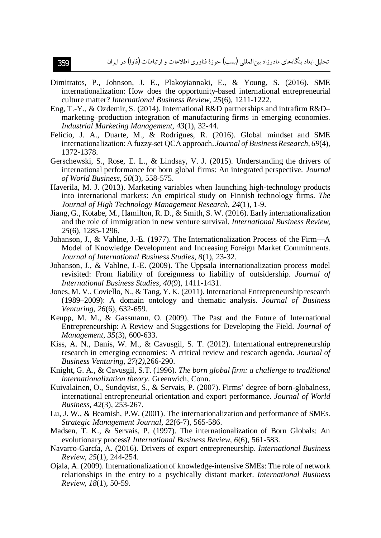- Dimitratos, P., Johnson, J. E., Plakoyiannaki, E., & Young, S. (2016). SME internationalization: How does the opportunity-based international entrepreneurial culture matter? *International Business Review, 25*(6), 1211-1222.
- Eng, T.-Y., & Ozdemir, S. (2014). International R&D partnerships and intrafirm R&D– marketing–production integration of manufacturing firms in emerging economies. *Industrial Marketing Management, 43*(1), 32-44.
- Felício, J. A., Duarte, M., & Rodrigues, R. (2016). Global mindset and SME internationalization: A fuzzy-set QCA approach. *Journal of Business Research, 69*(4), 1372-1378.
- Gerschewski, S., Rose, E. L., & Lindsay, V. J. (2015). Understanding the drivers of international performance for born global firms: An integrated perspective. *Journal of World Business, 50*(3), 558-575.
- Haverila, M. J. (2013). Marketing variables when launching high-technology products into international markets: An empirical study on Finnish technology firms. *The Journal of High Technology Management Research, 24*(1), 1-9.
- Jiang, G., Kotabe, M., Hamilton, R. D., & Smith, S. W. (2016). Early internationalization and the role of immigration in new venture survival. *International Business Review, 25*(6), 1285-1296.
- Johanson, J., & Vahlne, J.-E. (1977). The Internationalization Process of the Firm—A Model of Knowledge Development and Increasing Foreign Market Commitments. *Journal of International Business Studies, 8*(1), 23-32.
- Johanson, J., & Vahlne, J.-E. (2009). The Uppsala internationalization process model revisited: From liability of foreignness to liability of outsidership. *Journal of International Business Studies, 40*(9), 1411-1431.
- Jones, M. V., Coviello, N., & Tang, Y. K. (2011). International Entrepreneurship research (1989–2009): A domain ontology and thematic analysis. *Journal of Business Venturing, 26*(6), 632-659.
- Keupp, M. M., & Gassmann, O. (2009). The Past and the Future of International Entrepreneurship: A Review and Suggestions for Developing the Field. *Journal of Management, 35*(3), 600-633.
- Kiss, A. N., Danis, W. M., & Cavusgil, S. T. (2012). International entrepreneurship research in emerging economies: A critical review and research agenda. *Journal of Business Venturing, 27(2),*266-290.
- Knight, G. A., & Cavusgil, S.T. (1996). *The born global firm: a challenge to traditional internationalization theory*. Greenwich, Conn.
- Kuivalainen, O., Sundqvist, S., & Servais, P. (2007). Firms' degree of born-globalness, international entrepreneurial orientation and export performance. *Journal of World Business, 42*(3), 253-267.
- Lu, J. W., & Beamish, P.W. (2001). The internationalization and performance of SMEs. *Strategic Management Journal, 22*(6-7), 565-586.
- Madsen, T. K., & Servais, P. (1997). The internationalization of Born Globals: An evolutionary process? *International Business Review, 6*(6), 561-583.
- Navarro-García, A. (2016). Drivers of export entrepreneurship. *International Business Review, 25*(1), 244-254.
- Ojala, A. (2009). Internationalization of knowledge-intensive SMEs: The role of network relationships in the entry to a psychically distant market. *International Business Review, 18*(1), 50-59.